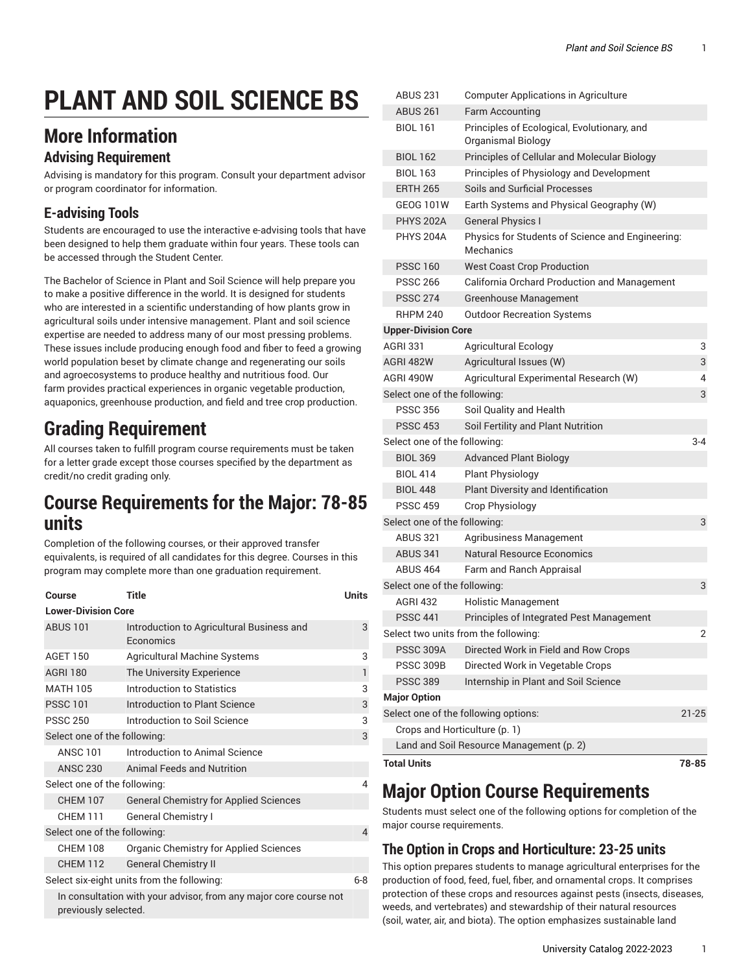# **PLANT AND SOIL SCIENCE BS**

## **More Information**

#### **Advising Requirement**

Advising is mandatory for this program. Consult your department advisor or program coordinator for information.

### **E-advising Tools**

Students are encouraged to use the interactive e-advising tools that have been designed to help them graduate within four years. These tools can be accessed through the Student Center.

The Bachelor of Science in Plant and Soil Science will help prepare you to make a positive difference in the world. It is designed for students who are interested in a scientific understanding of how plants grow in agricultural soils under intensive management. Plant and soil science expertise are needed to address many of our most pressing problems. These issues include producing enough food and fiber to feed a growing world population beset by climate change and regenerating our soils and agroecosystems to produce healthy and nutritious food. Our farm provides practical experiences in organic vegetable production, aquaponics, greenhouse production, and field and tree crop production.

## **Grading Requirement**

All courses taken to fulfill program course requirements must be taken for a letter grade except those courses specified by the department as credit/no credit grading only.

## **Course Requirements for the Major: 78-85 units**

Completion of the following courses, or their approved transfer equivalents, is required of all candidates for this degree. Courses in this program may complete more than one graduation requirement.

| Course                       | <b>Title</b>                                                      | <b>Units</b> |
|------------------------------|-------------------------------------------------------------------|--------------|
| <b>Lower-Division Core</b>   |                                                                   |              |
| <b>ABUS 101</b>              | Introduction to Agricultural Business and<br>Economics            | 3            |
| <b>AGET 150</b>              | Agricultural Machine Systems                                      | 3            |
| <b>AGRI 180</b>              | The University Experience                                         | 1            |
| <b>MATH 105</b>              | Introduction to Statistics                                        | 3            |
| <b>PSSC 101</b>              | Introduction to Plant Science                                     | 3            |
| <b>PSSC 250</b>              | Introduction to Soil Science                                      | 3            |
| Select one of the following: |                                                                   | 3            |
| <b>ANSC 101</b>              | Introduction to Animal Science                                    |              |
| <b>ANSC 230</b>              | <b>Animal Feeds and Nutrition</b>                                 |              |
| Select one of the following: |                                                                   | 4            |
| <b>CHEM 107</b>              | <b>General Chemistry for Applied Sciences</b>                     |              |
| <b>CHEM 111</b>              | <b>General Chemistry I</b>                                        |              |
| Select one of the following: |                                                                   | 4            |
| <b>CHEM 108</b>              | <b>Organic Chemistry for Applied Sciences</b>                     |              |
| CHEM 112                     | <b>General Chemistry II</b>                                       |              |
|                              | Select six-eight units from the following:                        | $6-8$        |
| previously selected.         | In consultation with your advisor, from any major core course not |              |

| <b>Total Units</b>            |                                                                   | 78-85   |
|-------------------------------|-------------------------------------------------------------------|---------|
|                               | Land and Soil Resource Management (p. 2)                          |         |
| Crops and Horticulture (p. 1) |                                                                   |         |
|                               | Select one of the following options:                              | 21-25   |
| <b>Major Option</b>           |                                                                   |         |
| <b>PSSC 389</b>               | Internship in Plant and Soil Science                              |         |
| <b>PSSC 309B</b>              | Directed Work in Vegetable Crops                                  |         |
| <b>PSSC 309A</b>              | Directed Work in Field and Row Crops                              |         |
|                               | Select two units from the following:                              | 2       |
| <b>PSSC 441</b>               | Principles of Integrated Pest Management                          |         |
| <b>AGRI 432</b>               | <b>Holistic Management</b>                                        |         |
| Select one of the following:  |                                                                   | 3       |
| <b>ABUS 464</b>               | Farm and Ranch Appraisal                                          |         |
| <b>ABUS 341</b>               | <b>Natural Resource Economics</b>                                 |         |
| <b>ABUS 321</b>               | Agribusiness Management                                           |         |
| Select one of the following:  |                                                                   | 3       |
| <b>PSSC 459</b>               | Crop Physiology                                                   |         |
| <b>BIOL 448</b>               | Plant Diversity and Identification                                |         |
| <b>BIOL 414</b>               | <b>Plant Physiology</b>                                           |         |
| <b>BIOL 369</b>               | <b>Advanced Plant Biology</b>                                     |         |
| Select one of the following:  |                                                                   | $3 - 4$ |
| <b>PSSC 453</b>               | Soil Fertility and Plant Nutrition                                |         |
| <b>PSSC 356</b>               | Soil Quality and Health                                           |         |
| Select one of the following:  |                                                                   | 3       |
| AGRI 490W                     | Agricultural Experimental Research (W)                            | 4       |
| <b>AGRI 482W</b>              | Agricultural Issues (W)                                           | 3       |
| <b>AGRI 331</b>               | <b>Agricultural Ecology</b>                                       | 3       |
| <b>Upper-Division Core</b>    |                                                                   |         |
| <b>RHPM 240</b>               | <b>Outdoor Recreation Systems</b>                                 |         |
| <b>PSSC 274</b>               | <b>Greenhouse Management</b>                                      |         |
| <b>PSSC 266</b>               | California Orchard Production and Management                      |         |
| <b>PSSC 160</b>               | <b>West Coast Crop Production</b>                                 |         |
| <b>PHYS 204A</b>              | Physics for Students of Science and Engineering:<br>Mechanics     |         |
| <b>PHYS 202A</b>              | <b>General Physics I</b>                                          |         |
| <b>GEOG 101W</b>              | Earth Systems and Physical Geography (W)                          |         |
| <b>ERTH 265</b>               | <b>Soils and Surficial Processes</b>                              |         |
| <b>BIOL 163</b>               | Principles of Physiology and Development                          |         |
| <b>BIOL 162</b>               | Principles of Cellular and Molecular Biology                      |         |
| <b>BIOL 161</b>               | Principles of Ecological, Evolutionary, and<br>Organismal Biology |         |
| <b>ABUS 261</b>               | <b>Farm Accounting</b>                                            |         |
| <b>ABUS 231</b>               | <b>Computer Applications in Agriculture</b>                       |         |

## **Major Option Course Requirements**

Students must select one of the following options for completion of the major course requirements.

#### <span id="page-0-0"></span>**The Option in Crops and Horticulture: 23-25 units**

This option prepares students to manage agricultural enterprises for the production of food, feed, fuel, fiber, and ornamental crops. It comprises protection of these crops and resources against pests (insects, diseases, weeds, and vertebrates) and stewardship of their natural resources (soil, water, air, and biota). The option emphasizes sustainable land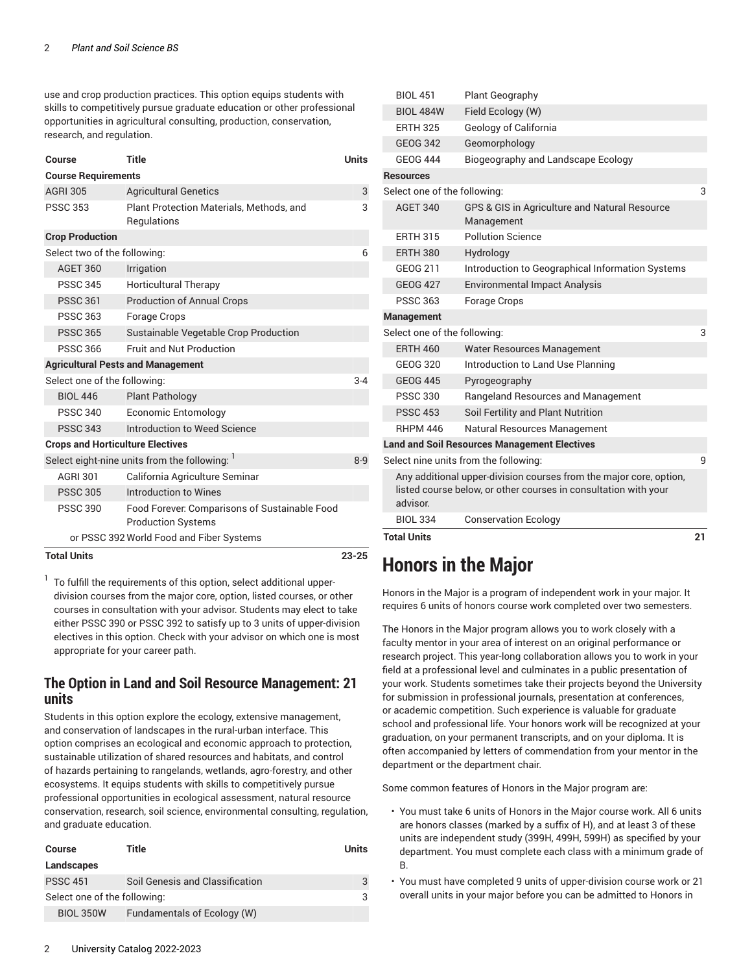use and crop production practices. This option equips students with skills to competitively pursue graduate education or other professional opportunities in agricultural consulting, production, conservation, research, and regulation.

| Course                                  | <b>Title</b>                                                               | <b>Units</b> |  |  |  |
|-----------------------------------------|----------------------------------------------------------------------------|--------------|--|--|--|
| <b>Course Requirements</b>              |                                                                            |              |  |  |  |
| <b>AGRI 305</b>                         | <b>Agricultural Genetics</b>                                               | 3            |  |  |  |
| <b>PSSC 353</b>                         | Plant Protection Materials, Methods, and<br>Regulations                    | 3            |  |  |  |
| <b>Crop Production</b>                  |                                                                            |              |  |  |  |
| Select two of the following:            |                                                                            | 6            |  |  |  |
| <b>AGET 360</b>                         | Irrigation                                                                 |              |  |  |  |
| <b>PSSC 345</b>                         | <b>Horticultural Therapy</b>                                               |              |  |  |  |
| <b>PSSC 361</b>                         | <b>Production of Annual Crops</b>                                          |              |  |  |  |
| <b>PSSC 363</b>                         | Forage Crops                                                               |              |  |  |  |
| <b>PSSC 365</b>                         | Sustainable Vegetable Crop Production                                      |              |  |  |  |
| <b>PSSC 366</b>                         | Fruit and Nut Production                                                   |              |  |  |  |
|                                         | <b>Agricultural Pests and Management</b>                                   |              |  |  |  |
| Select one of the following:            |                                                                            | $3 - 4$      |  |  |  |
| <b>BIOL 446</b>                         | <b>Plant Pathology</b>                                                     |              |  |  |  |
| <b>PSSC 340</b>                         | <b>Economic Entomology</b>                                                 |              |  |  |  |
| <b>PSSC 343</b>                         | Introduction to Weed Science                                               |              |  |  |  |
| <b>Crops and Horticulture Electives</b> |                                                                            |              |  |  |  |
|                                         | Select eight-nine units from the following:                                | $8 - 9$      |  |  |  |
| <b>AGRI 301</b>                         | California Agriculture Seminar                                             |              |  |  |  |
| <b>PSSC 305</b>                         | Introduction to Wines                                                      |              |  |  |  |
| <b>PSSC 390</b>                         | Food Forever: Comparisons of Sustainable Food<br><b>Production Systems</b> |              |  |  |  |
|                                         | or PSSC 392 World Food and Fiber Systems                                   |              |  |  |  |
| <b>Total Units</b>                      |                                                                            | $23 - 25$    |  |  |  |

 $1$  To fulfill the requirements of this option, select additional upperdivision courses from the major core, option, listed courses, or other courses in consultation with your advisor. Students may elect to take either PSSC 390 or PSSC 392 to satisfy up to 3 units of upper-division electives in this option. Check with your advisor on which one is most appropriate for your career path.

#### <span id="page-1-0"></span>**The Option in Land and Soil Resource Management: 21 units**

Students in this option explore the ecology, extensive management, and conservation of landscapes in the rural-urban interface. This option comprises an ecological and economic approach to protection, sustainable utilization of shared resources and habitats, and control of hazards pertaining to rangelands, wetlands, agro-forestry, and other ecosystems. It equips students with skills to competitively pursue professional opportunities in ecological assessment, natural resource conservation, research, soil science, environmental consulting, regulation, and graduate education.

| Course                       | Title                           | Units |  |
|------------------------------|---------------------------------|-------|--|
| Landscapes                   |                                 |       |  |
| <b>PSSC 451</b>              | Soil Genesis and Classification |       |  |
| Select one of the following: |                                 |       |  |
| <b>BIOL 350W</b>             | Fundamentals of Ecology (W)     |       |  |

|                              | <b>Total Units</b>           |                                                                    | 21 |
|------------------------------|------------------------------|--------------------------------------------------------------------|----|
|                              | <b>BIOL 334</b>              | <b>Conservation Ecology</b>                                        |    |
|                              | advisor.                     | listed course below, or other courses in consultation with your    |    |
|                              |                              | Any additional upper-division courses from the major core, option, |    |
|                              |                              | Select nine units from the following:                              | 9  |
|                              |                              | <b>Land and Soil Resources Management Electives</b>                |    |
|                              | <b>RHPM 446</b>              | Natural Resources Management                                       |    |
|                              | <b>PSSC 453</b>              | Soil Fertility and Plant Nutrition                                 |    |
|                              | <b>PSSC 330</b>              | Rangeland Resources and Management                                 |    |
|                              | <b>GEOG 445</b>              | Pyrogeography                                                      |    |
|                              | <b>GEOG 320</b>              | Introduction to Land Use Planning                                  |    |
|                              | <b>ERTH 460</b>              | Water Resources Management                                         |    |
|                              | Select one of the following: |                                                                    | 3  |
|                              | <b>Management</b>            |                                                                    |    |
|                              | <b>PSSC 363</b>              | Forage Crops                                                       |    |
|                              | <b>GEOG 427</b>              | <b>Environmental Impact Analysis</b>                               |    |
|                              | GEOG 211                     | Introduction to Geographical Information Systems                   |    |
|                              | <b>ERTH 380</b>              | Hydrology                                                          |    |
|                              | <b>ERTH 315</b>              | <b>Pollution Science</b>                                           |    |
|                              | <b>AGET 340</b>              | GPS & GIS in Agriculture and Natural Resource<br>Management        |    |
| Select one of the following: |                              | 3                                                                  |    |
|                              | <b>Resources</b>             |                                                                    |    |
|                              | <b>GEOG 444</b>              | Biogeography and Landscape Ecology                                 |    |
|                              | <b>GEOG 342</b>              | Geomorphology                                                      |    |
|                              | <b>ERTH 325</b>              | Geology of California                                              |    |
|                              | <b>BIOL 484W</b>             | Field Ecology (W)                                                  |    |
|                              | <b>BIOL 451</b>              | Plant Geography                                                    |    |

## **Honors in the Major**

Honors in the Major is a program of independent work in your major. It requires 6 units of honors course work completed over two semesters.

The Honors in the Major program allows you to work closely with a faculty mentor in your area of interest on an original performance or research project. This year-long collaboration allows you to work in your field at a professional level and culminates in a public presentation of your work. Students sometimes take their projects beyond the University for submission in professional journals, presentation at conferences, or academic competition. Such experience is valuable for graduate school and professional life. Your honors work will be recognized at your graduation, on your permanent transcripts, and on your diploma. It is often accompanied by letters of commendation from your mentor in the department or the department chair.

Some common features of Honors in the Major program are:

- You must take 6 units of Honors in the Major course work. All 6 units are honors classes (marked by a suffix of H), and at least 3 of these units are independent study (399H, 499H, 599H) as specified by your department. You must complete each class with a minimum grade of B.
- You must have completed 9 units of upper-division course work or 21 overall units in your major before you can be admitted to Honors in